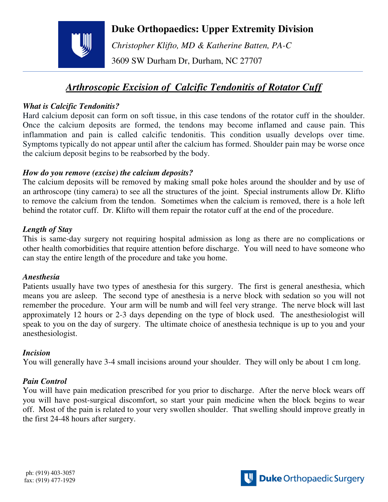**Duke Orthopaedics: Upper Extremity Division**

*Christopher Klifto, MD & Katherine Batten, PA-C* 

3609 SW Durham Dr, Durham, NC 27707

# *Arthroscopic Excision of Calcific Tendonitis of Rotator Cuff*

## *What is Calcific Tendonitis?*

Hard calcium deposit can form on soft tissue, in this case tendons of the rotator cuff in the shoulder. Once the calcium deposits are formed, the tendons may become inflamed and cause pain. This inflammation and pain is called calcific tendonitis. This condition usually develops over time. Symptoms typically do not appear until after the calcium has formed. Shoulder pain may be worse once the calcium deposit begins to be reabsorbed by the body.

## *How do you remove (excise) the calcium deposits?*

The calcium deposits will be removed by making small poke holes around the shoulder and by use of an arthroscope (tiny camera) to see all the structures of the joint. Special instruments allow Dr. Klifto to remove the calcium from the tendon. Sometimes when the calcium is removed, there is a hole left behind the rotator cuff. Dr. Klifto will them repair the rotator cuff at the end of the procedure.

## *Length of Stay*

This is same-day surgery not requiring hospital admission as long as there are no complications or other health comorbidities that require attention before discharge. You will need to have someone who can stay the entire length of the procedure and take you home.

## *Anesthesia*

Patients usually have two types of anesthesia for this surgery. The first is general anesthesia, which means you are asleep. The second type of anesthesia is a nerve block with sedation so you will not remember the procedure. Your arm will be numb and will feel very strange. The nerve block will last approximately 12 hours or 2-3 days depending on the type of block used. The anesthesiologist will speak to you on the day of surgery. The ultimate choice of anesthesia technique is up to you and your anesthesiologist.

## *Incision*

You will generally have 3-4 small incisions around your shoulder. They will only be about 1 cm long.

## *Pain Control*

You will have pain medication prescribed for you prior to discharge. After the nerve block wears off you will have post-surgical discomfort, so start your pain medicine when the block begins to wear off. Most of the pain is related to your very swollen shoulder. That swelling should improve greatly in the first 24-48 hours after surgery.